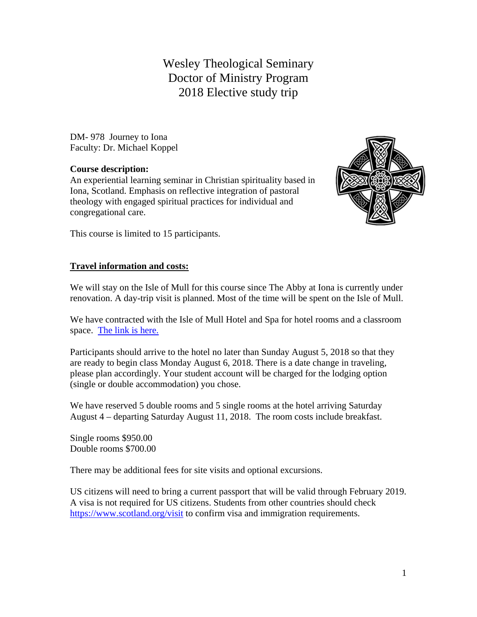# Wesley Theological Seminary Doctor of Ministry Program 2018 Elective study trip

DM- 978 Journey to Iona Faculty: Dr. Michael Koppel

#### **Course description:**

An experiential learning seminar in Christian spirituality based in Iona, Scotland. Emphasis on reflective integration of pastoral theology with engaged spiritual practices for individual and congregational care.



This course is limited to 15 participants.

## **Travel information and costs:**

We will stay on the Isle of Mull for this course since The Abby at Iona is currently under renovation. A day-trip visit is planned. Most of the time will be spent on the Isle of Mull.

We have contracted with the Isle of Mull Hotel and Spa for hotel rooms and a classroom space. The link is here.

Participants should arrive to the hotel no later than Sunday August 5, 2018 so that they are ready to begin class Monday August 6, 2018. There is a date change in traveling, please plan accordingly. Your student account will be charged for the lodging option (single or double accommodation) you chose.

We have reserved 5 double rooms and 5 single rooms at the hotel arriving Saturday August 4 – departing Saturday August 11, 2018. The room costs include breakfast.

Single rooms \$950.00 Double rooms \$700.00

There may be additional fees for site visits and optional excursions.

US citizens will need to bring a current passport that will be valid through February 2019. A visa is not required for US citizens. Students from other countries should check https://www.scotland.org/visit to confirm visa and immigration requirements.